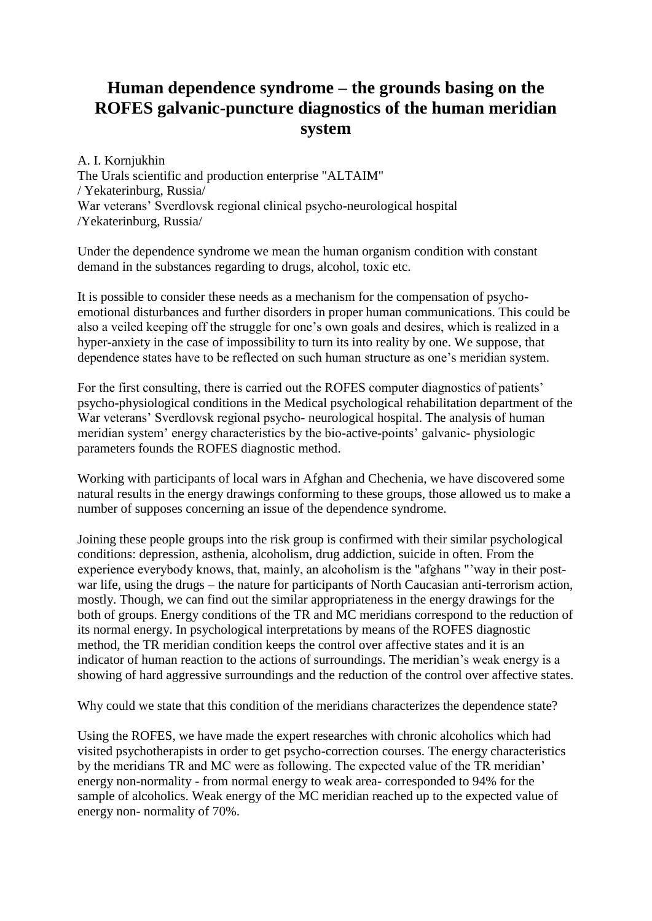## **Human dependence syndrome – the grounds basing on the ROFES galvanic-puncture diagnostics of the human meridian system**

A. I. Kornjukhin

The Urals scientific and production enterprise "ALTAIM" / Yekaterinburg, Russia/ War veterans' Sverdlovsk regional clinical psycho-neurological hospital /Yekaterinburg, Russia/

Under the dependence syndrome we mean the human organism condition with constant demand in the substances regarding to drugs, alcohol, toxic etc.

It is possible to consider these needs as a mechanism for the compensation of psychoemotional disturbances and further disorders in proper human communications. This could be also a veiled keeping off the struggle for one's own goals and desires, which is realized in a hyper-anxiety in the case of impossibility to turn its into reality by one. We suppose, that dependence states have to be reflected on such human structure as one's meridian system.

For the first consulting, there is carried out the ROFES computer diagnostics of patients' psycho-physiological conditions in the Medical psychological rehabilitation department of the War veterans' Sverdlovsk regional psycho- neurological hospital. The analysis of human meridian system' energy characteristics by the bio-active-points' galvanic- physiologic parameters founds the ROFES diagnostic method.

Working with participants of local wars in Afghan and Chechenia, we have discovered some natural results in the energy drawings conforming to these groups, those allowed us to make a number of supposes concerning an issue of the dependence syndrome.

Joining these people groups into the risk group is confirmed with their similar psychological conditions: depression, asthenia, alcoholism, drug addiction, suicide in often. From the experience everybody knows, that, mainly, an alcoholism is the "afghans "'way in their postwar life, using the drugs – the nature for participants of North Caucasian anti-terrorism action, mostly. Though, we can find out the similar appropriateness in the energy drawings for the both of groups. Energy conditions of the TR and MC meridians correspond to the reduction of its normal energy. In psychological interpretations by means of the ROFES diagnostic method, the TR meridian condition keeps the control over affective states and it is an indicator of human reaction to the actions of surroundings. The meridian's weak energy is a showing of hard aggressive surroundings and the reduction of the control over affective states.

Why could we state that this condition of the meridians characterizes the dependence state?

Using the ROFES, we have made the expert researches with chronic alcoholics which had visited psychotherapists in order to get psycho-correction courses. The energy characteristics by the meridians TR and MC were as following. The expected value of the TR meridian' energy non-normality - from normal energy to weak area- corresponded to 94% for the sample of alcoholics. Weak energy of the MC meridian reached up to the expected value of energy non- normality of 70%.